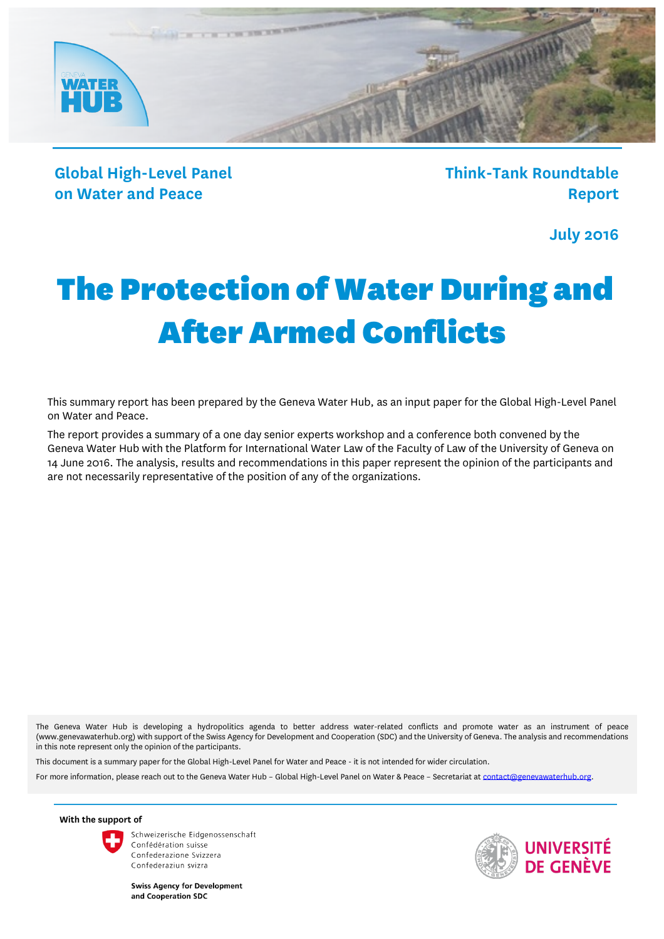

**Global High-Level Panel on Water and Peace**

**Think-Tank Roundtable Report**

**July 2016**

# The Protection of Water During and After Armed Conflicts

This summary report has been prepared by the Geneva Water Hub, as an input paper for the Global High-Level Panel on Water and Peace.

The report provides a summary of a one day senior experts workshop and a conference both convened by the Geneva Water Hub with the Platform for International Water Law of the Faculty of Law of the University of Geneva on 14 June 2016. The analysis, results and recommendations in this paper represent the opinion of the participants and are not necessarily representative of the position of any of the organizations.

The Geneva Water Hub is developing a hydropolitics agenda to better address water-related conflicts and promote water as an instrument of peace (www.genevawaterhub.org) with support of the Swiss Agency for Development and Cooperation (SDC) and the University of Geneva. The analysis and recommendations in this note represent only the opinion of the participants.

This document is a summary paper for the Global High-Level Panel for Water and Peace - it is not intended for wider circulation.

For more information, please reach out to the Geneva Water Hub - Global High-Level Panel on Water & Peace - Secretariat a[t contact@genevawaterhub.org.](mailto:contact@genevawaterhub.org)

**With the support of** 



Schweizerische Eidgenossenschaft Confédération suisse Confederazione Svizzera Confederaziun svizra

**Swiss Agency for Development** and Cooperation SDC

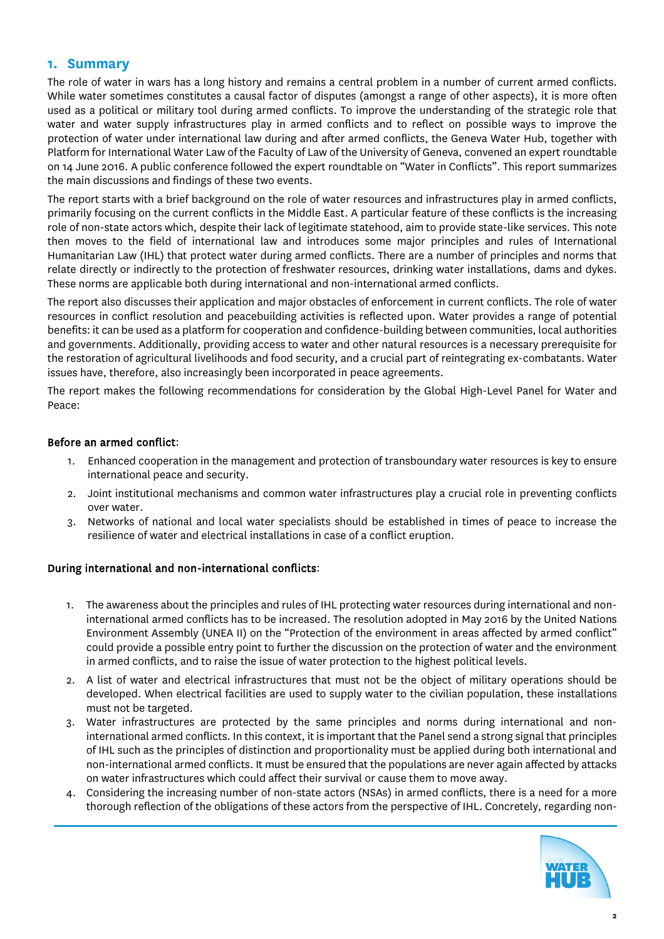### **1. Summary**

The role of water in wars has a long history and remains a central problem in a number of current armed conflicts. While water sometimes constitutes a causal factor of disputes (amongst a range of other aspects), it is more often used as a political or military tool during armed conflicts. To improve the understanding of the strategic role that water and water supply infrastructures play in armed conflicts and to reflect on possible ways to improve the protection of water under international law during and after armed conflicts, the Geneva Water Hub, together with Platform for International Water Law of the Faculty of Law of the University of Geneva, convened an expert roundtable on 14 June 2016. A public conference followed the expert roundtable on "Water in Conflicts". This report summarizes the main discussions and findings of these two events.

The report starts with a brief background on the role of water resources and infrastructures play in armed conflicts, primarily focusing on the current conflicts in the Middle East. A particular feature of these conflicts is the increasing role of non-state actors which, despite their lack of legitimate statehood, aim to provide state-like services. This note then moves to the field of international law and introduces some major principles and rules of International Humanitarian Law (IHL) that protect water during armed conflicts. There are a number of principles and norms that relate directly or indirectly to the protection of freshwater resources, drinking water installations, dams and dykes. These norms are applicable both during international and non-international armed conflicts.

The report also discusses their application and major obstacles of enforcement in current conflicts. The role of water resources in conflict resolution and peacebuilding activities is reflected upon. Water provides a range of potential benefits: it can be used as a platform for cooperation and confidence-building between communities, local authorities and governments. Additionally, providing access to water and other natural resources is a necessary prerequisite for the restoration of agricultural livelihoods and food security, and a crucial part of reintegrating ex-combatants. Water issues have, therefore, also increasingly been incorporated in peace agreements.

The report makes the following recommendations for consideration by the Global High-Level Panel for Water and Peace:

#### Before an armed conflict:

- 1. Enhanced cooperation in the management and protection of transboundary water resources is key to ensure international peace and security.
- 2. Joint institutional mechanisms and common water infrastructures play a crucial role in preventing conflicts over water.
- 3. Networks of national and local water specialists should be established in times of peace to increase the resilience of water and electrical installations in case of a conflict eruption.

#### During international and non-international conflicts:

- 1. The awareness about the principles and rules of IHL protecting water resources during international and noninternational armed conflicts has to be increased. The resolution adopted in May 2016 by the United Nations Environment Assembly (UNEA II) on the "Protection of the environment in areas affected by armed conflict" could provide a possible entry point to further the discussion on the protection of water and the environment in armed conflicts, and to raise the issue of water protection to the highest political levels.
- 2. A list of water and electrical infrastructures that must not be the object of military operations should be developed. When electrical facilities are used to supply water to the civilian population, these installations must not be targeted.
- 3. Water infrastructures are protected by the same principles and norms during international and noninternational armed conflicts. In this context, it is important that the Panel send a strong signal that principles of IHL such as the principles of distinction and proportionality must be applied during both international and non-international armed conflicts. It must be ensured that the populations are never again affected by attacks on water infrastructures which could affect their survival or cause them to move away.
- 4. Considering the increasing number of non-state actors (NSAs) in armed conflicts, there is a need for a more thorough reflection of the obligations of these actors from the perspective of IHL. Concretely, regarding non-

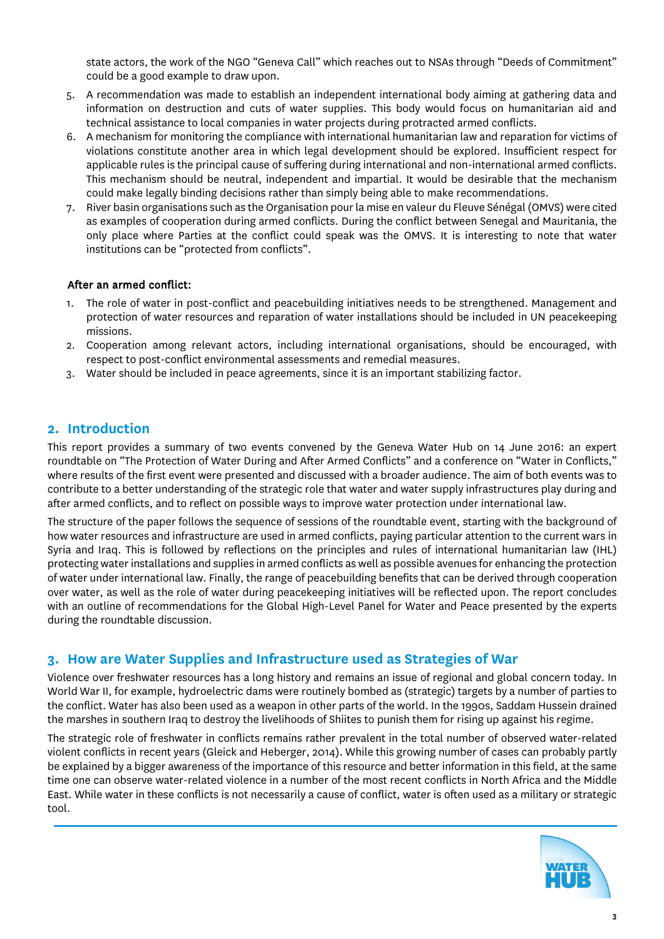state actors, the work of the NGO "Geneva Call" which reaches out to NSAs through "Deeds of Commitment" could be a good example to draw upon.

- 5. A recommendation was made to establish an independent international body aiming at gathering data and information on destruction and cuts of water supplies. This body would focus on humanitarian aid and technical assistance to local companies in water projects during protracted armed conflicts.
- 6. A mechanism for monitoring the compliance with international humanitarian law and reparation for victims of violations constitute another area in which legal development should be explored. Insufficient respect for applicable rules is the principal cause of suffering during international and non-international armed conflicts. This mechanism should be neutral, independent and impartial. It would be desirable that the mechanism could make legally binding decisions rather than simply being able to make recommendations.
- 7. River basin organisations such as the Organisation pour la mise en valeur du Fleuve Sénégal (OMVS) were cited as examples of cooperation during armed conflicts. During the conflict between Senegal and Mauritania, the only place where Parties at the conflict could speak was the OMVS. It is interesting to note that water institutions can be "protected from conflicts".

#### After an armed conflict:

- 1. The role of water in post-conflict and peacebuilding initiatives needs to be strengthened. Management and protection of water resources and reparation of water installations should be included in UN peacekeeping missions.
- 2. Cooperation among relevant actors, including international organisations, should be encouraged, with respect to post-conflict environmental assessments and remedial measures.
- 3. Water should be included in peace agreements, since it is an important stabilizing factor.

# **2. Introduction**

This report provides a summary of two events convened by the Geneva Water Hub on 14 June 2016: an expert roundtable on "The Protection of Water During and After Armed Conflicts" and a conference on "Water in Conflicts," where results of the first event were presented and discussed with a broader audience. The aim of both events was to contribute to a better understanding of the strategic role that water and water supply infrastructures play during and after armed conflicts, and to reflect on possible ways to improve water protection under international law.

The structure of the paper follows the sequence of sessions of the roundtable event, starting with the background of how water resources and infrastructure are used in armed conflicts, paying particular attention to the current wars in Syria and Iraq. This is followed by reflections on the principles and rules of international humanitarian law (IHL) protecting water installations and supplies in armed conflicts as well as possible avenues for enhancing the protection of water under international law. Finally, the range of peacebuilding benefits that can be derived through cooperation over water, as well as the role of water during peacekeeping initiatives will be reflected upon. The report concludes with an outline of recommendations for the Global High-Level Panel for Water and Peace presented by the experts during the roundtable discussion.

# **3. How are Water Supplies and Infrastructure used as Strategies of War**

Violence over freshwater resources has a long history and remains an issue of regional and global concern today. In World War II, for example, hydroelectric dams were routinely bombed as (strategic) targets by a number of parties to the conflict. Water has also been used as a weapon in other parts of the world. In the 1990s, Saddam Hussein drained the marshes in southern Iraq to destroy the livelihoods of Shiites to punish them for rising up against his regime.

The strategic role of freshwater in conflicts remains rather prevalent in the total number of observed water-related violent conflicts in recent years (Gleick and Heberger, 2014). While this growing number of cases can probably partly be explained by a bigger awareness of the importance of this resource and better information in this field, at the same time one can observe water-related violence in a number of the most recent conflicts in North Africa and the Middle East. While water in these conflicts is not necessarily a cause of conflict, water is often used as a military or strategic tool.

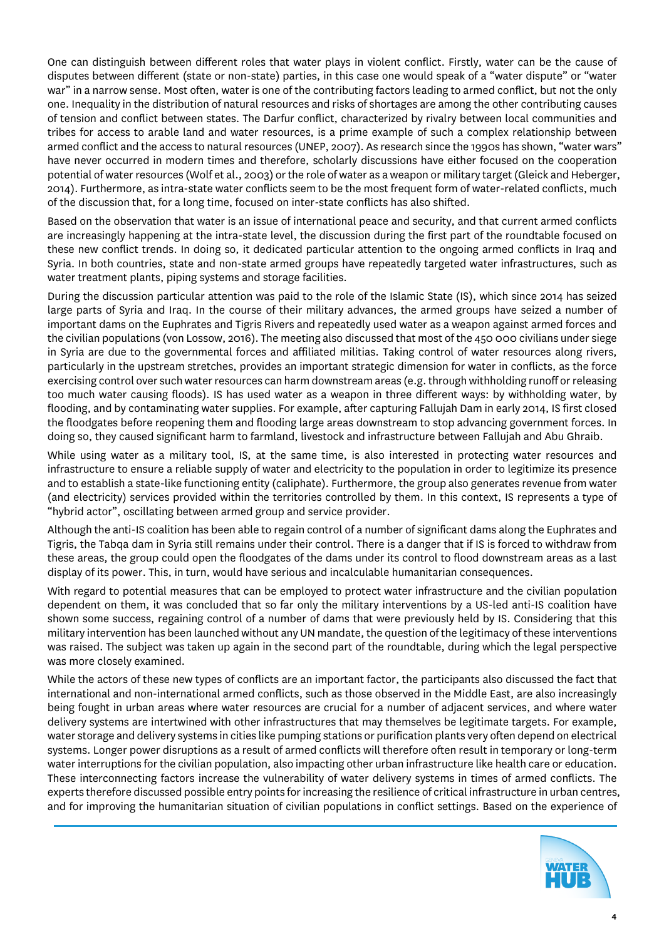One can distinguish between different roles that water plays in violent conflict. Firstly, water can be the cause of disputes between different (state or non-state) parties, in this case one would speak of a "water dispute" or "water war" in a narrow sense. Most often, water is one of the contributing factors leading to armed conflict, but not the only one. Inequality in the distribution of natural resources and risks of shortages are among the other contributing causes of tension and conflict between states. The Darfur conflict, characterized by rivalry between local communities and tribes for access to arable land and water resources, is a prime example of such a complex relationship between armed conflict and the access to natural resources (UNEP, 2007). As research since the 1990s has shown, "water wars" have never occurred in modern times and therefore, scholarly discussions have either focused on the cooperation potential of water resources (Wolf et al., 2003) or the role of water as a weapon or military target (Gleick and Heberger, 2014). Furthermore, as intra-state water conflicts seem to be the most frequent form of water-related conflicts, much of the discussion that, for a long time, focused on inter-state conflicts has also shifted.

Based on the observation that water is an issue of international peace and security, and that current armed conflicts are increasingly happening at the intra-state level, the discussion during the first part of the roundtable focused on these new conflict trends. In doing so, it dedicated particular attention to the ongoing armed conflicts in Iraq and Syria. In both countries, state and non-state armed groups have repeatedly targeted water infrastructures, such as water treatment plants, piping systems and storage facilities.

During the discussion particular attention was paid to the role of the Islamic State (IS), which since 2014 has seized large parts of Syria and Iraq. In the course of their military advances, the armed groups have seized a number of important dams on the Euphrates and Tigris Rivers and repeatedly used water as a weapon against armed forces and the civilian populations (von Lossow, 2016). The meeting also discussed that most of the 450 000 civilians under siege in Syria are due to the governmental forces and affiliated militias. Taking control of water resources along rivers, particularly in the upstream stretches, provides an important strategic dimension for water in conflicts, as the force exercising control over such water resources can harm downstream areas (e.g. through withholding runoff or releasing too much water causing floods). IS has used water as a weapon in three different ways: by withholding water, by flooding, and by contaminating water supplies. For example, after capturing Fallujah Dam in early 2014, IS first closed the floodgates before reopening them and flooding large areas downstream to stop advancing government forces. In doing so, they caused significant harm to farmland, livestock and infrastructure between Fallujah and Abu Ghraib.

While using water as a military tool, IS, at the same time, is also interested in protecting water resources and infrastructure to ensure a reliable supply of water and electricity to the population in order to legitimize its presence and to establish a state-like functioning entity (caliphate). Furthermore, the group also generates revenue from water (and electricity) services provided within the territories controlled by them. In this context, IS represents a type of "hybrid actor", oscillating between armed group and service provider.

Although the anti-IS coalition has been able to regain control of a number of significant dams along the Euphrates and Tigris, the Tabqa dam in Syria still remains under their control. There is a danger that if IS is forced to withdraw from these areas, the group could open the floodgates of the dams under its control to flood downstream areas as a last display of its power. This, in turn, would have serious and incalculable humanitarian consequences.

With regard to potential measures that can be employed to protect water infrastructure and the civilian population dependent on them, it was concluded that so far only the military interventions by a US-led anti-IS coalition have shown some success, regaining control of a number of dams that were previously held by IS. Considering that this military intervention has been launched without any UN mandate, the question of the legitimacy of these interventions was raised. The subject was taken up again in the second part of the roundtable, during which the legal perspective was more closely examined.

While the actors of these new types of conflicts are an important factor, the participants also discussed the fact that international and non-international armed conflicts, such as those observed in the Middle East, are also increasingly being fought in urban areas where water resources are crucial for a number of adjacent services, and where water delivery systems are intertwined with other infrastructures that may themselves be legitimate targets. For example, water storage and delivery systems in cities like pumping stations or purification plants very often depend on electrical systems. Longer power disruptions as a result of armed conflicts will therefore often result in temporary or long-term water interruptions for the civilian population, also impacting other urban infrastructure like health care or education. These interconnecting factors increase the vulnerability of water delivery systems in times of armed conflicts. The experts therefore discussed possible entry points for increasing the resilience of critical infrastructure in urban centres, and for improving the humanitarian situation of civilian populations in conflict settings. Based on the experience of

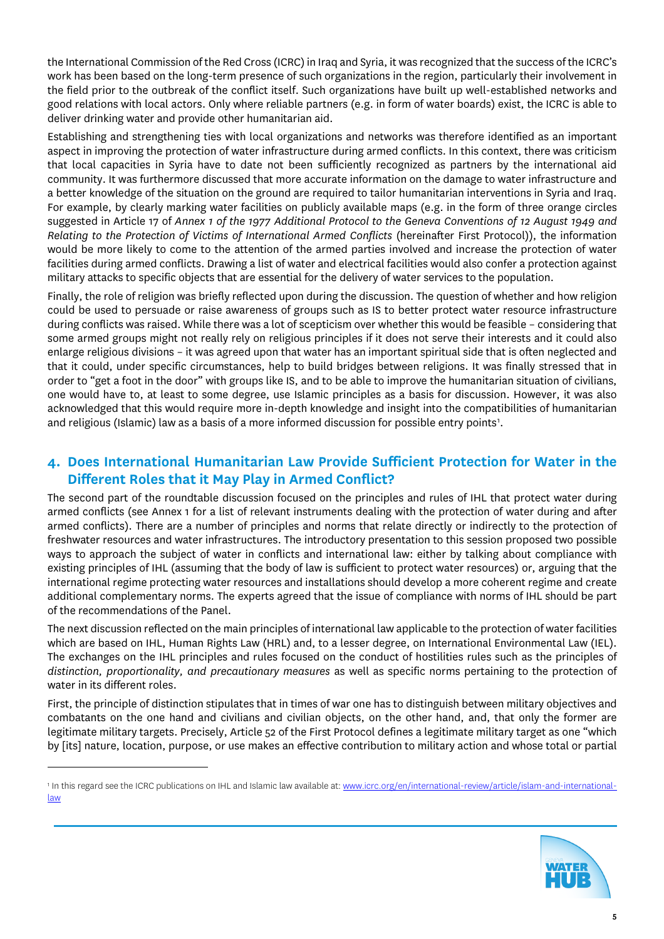the International Commission of the Red Cross (ICRC) in Iraq and Syria, it was recognized that the success of the ICRC's work has been based on the long-term presence of such organizations in the region, particularly their involvement in the field prior to the outbreak of the conflict itself. Such organizations have built up well-established networks and good relations with local actors. Only where reliable partners (e.g. in form of water boards) exist, the ICRC is able to deliver drinking water and provide other humanitarian aid.

Establishing and strengthening ties with local organizations and networks was therefore identified as an important aspect in improving the protection of water infrastructure during armed conflicts. In this context, there was criticism that local capacities in Syria have to date not been sufficiently recognized as partners by the international aid community. It was furthermore discussed that more accurate information on the damage to water infrastructure and a better knowledge of the situation on the ground are required to tailor humanitarian interventions in Syria and Iraq. For example, by clearly marking water facilities on publicly available maps (e.g. in the form of three orange circles suggested in Article 17 of *Annex 1 of the 1977 Additional Protocol to the Geneva Conventions of 12 August 1949 and Relating to the Protection of Victims of International Armed Conflicts* (hereinafter First Protocol)), the information would be more likely to come to the attention of the armed parties involved and increase the protection of water facilities during armed conflicts. Drawing a list of water and electrical facilities would also confer a protection against military attacks to specific objects that are essential for the delivery of water services to the population.

Finally, the role of religion was briefly reflected upon during the discussion. The question of whether and how religion could be used to persuade or raise awareness of groups such as IS to better protect water resource infrastructure during conflicts was raised. While there was a lot of scepticism over whether this would be feasible – considering that some armed groups might not really rely on religious principles if it does not serve their interests and it could also enlarge religious divisions – it was agreed upon that water has an important spiritual side that is often neglected and that it could, under specific circumstances, help to build bridges between religions. It was finally stressed that in order to "get a foot in the door" with groups like IS, and to be able to improve the humanitarian situation of civilians, one would have to, at least to some degree, use Islamic principles as a basis for discussion. However, it was also acknowledged that this would require more in-depth knowledge and insight into the compatibilities of humanitarian and religious (Islamic) law as a basis of a more informed discussion for possible entry points<sup>[1](#page-4-0)</sup>.

# **4. Does International Humanitarian Law Provide Sufficient Protection for Water in the Different Roles that it May Play in Armed Conflict?**

The second part of the roundtable discussion focused on the principles and rules of IHL that protect water during armed conflicts (see Annex 1 for a list of relevant instruments dealing with the protection of water during and after armed conflicts). There are a number of principles and norms that relate directly or indirectly to the protection of freshwater resources and water infrastructures. The introductory presentation to this session proposed two possible ways to approach the subject of water in conflicts and international law: either by talking about compliance with existing principles of IHL (assuming that the body of law is sufficient to protect water resources) or, arguing that the international regime protecting water resources and installations should develop a more coherent regime and create additional complementary norms. The experts agreed that the issue of compliance with norms of IHL should be part of the recommendations of the Panel.

The next discussion reflected on the main principles of international law applicable to the protection of water facilities which are based on IHL, Human Rights Law (HRL) and, to a lesser degree, on International Environmental Law (IEL). The exchanges on the IHL principles and rules focused on the conduct of hostilities rules such as the principles of *distinction, proportionality, and precautionary measures* as well as specific norms pertaining to the protection of water in its different roles.

First, the principle of distinction stipulates that in times of war one has to distinguish between military objectives and combatants on the one hand and civilians and civilian objects, on the other hand, and, that only the former are legitimate military targets. Precisely, Article 52 of the First Protocol defines a legitimate military target as one "which by [its] nature, location, purpose, or use makes an effective contribution to military action and whose total or partial

 $\overline{a}$ 



<span id="page-4-0"></span><sup>1</sup> In this regard see the ICRC publications on IHL and Islamic law available at[: www.icrc.org/en/international-review/article/islam-and-international](http://www.icrc.org/en/international-review/article/islam-and-international-law)[law](http://www.icrc.org/en/international-review/article/islam-and-international-law)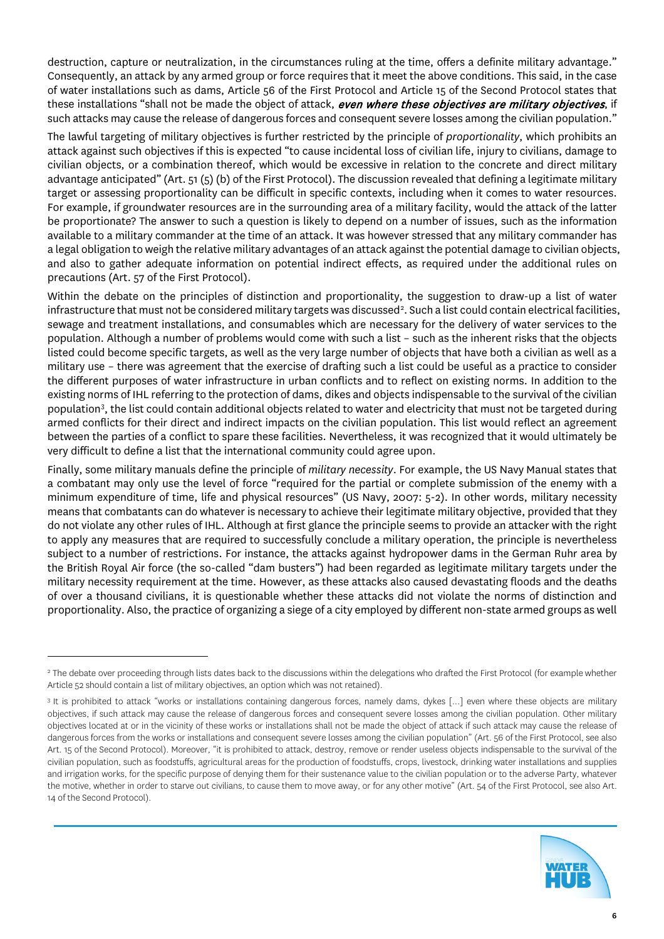destruction, capture or neutralization, in the circumstances ruling at the time, offers a definite military advantage." Consequently, an attack by any armed group or force requires that it meet the above conditions. This said, in the case of water installations such as dams, Article 56 of the First Protocol and Article 15 of the Second Protocol states that these installations "shall not be made the object of attack, even where these objectives are military objectives, if such attacks may cause the release of dangerous forces and consequent severe losses among the civilian population."

The lawful targeting of military objectives is further restricted by the principle of *proportionality*, which prohibits an attack against such objectives if this is expected "to cause incidental loss of civilian life, injury to civilians, damage to civilian objects, or a combination thereof, which would be excessive in relation to the concrete and direct military advantage anticipated" (Art. 51 (5) (b) of the First Protocol). The discussion revealed that defining a legitimate military target or assessing proportionality can be difficult in specific contexts, including when it comes to water resources. For example, if groundwater resources are in the surrounding area of a military facility, would the attack of the latter be proportionate? The answer to such a question is likely to depend on a number of issues, such as the information available to a military commander at the time of an attack. It was however stressed that any military commander has a legal obligation to weigh the relative military advantages of an attack against the potential damage to civilian objects, and also to gather adequate information on potential indirect effects, as required under the additional rules on precautions (Art. 57 of the First Protocol).

Within the debate on the principles of distinction and proportionality, the suggestion to draw-up a list of water infrastructure that must not be considered military targets was discussed<sup>[2](#page-5-0)</sup>. Such a list could contain electrical facilities, sewage and treatment installations, and consumables which are necessary for the delivery of water services to the population. Although a number of problems would come with such a list – such as the inherent risks that the objects listed could become specific targets, as well as the very large number of objects that have both a civilian as well as a military use – there was agreement that the exercise of drafting such a list could be useful as a practice to consider the different purposes of water infrastructure in urban conflicts and to reflect on existing norms. In addition to the existing norms of IHL referring to the protection of dams, dikes and objects indispensable to the survival of the civilian population[3](#page-5-1) , the list could contain additional objects related to water and electricity that must not be targeted during armed conflicts for their direct and indirect impacts on the civilian population. This list would reflect an agreement between the parties of a conflict to spare these facilities. Nevertheless, it was recognized that it would ultimately be very difficult to define a list that the international community could agree upon.

Finally, some military manuals define the principle of *military necessity*. For example, the US Navy Manual states that a combatant may only use the level of force "required for the partial or complete submission of the enemy with a minimum expenditure of time, life and physical resources" (US Navy, 2007: 5-2). In other words, military necessity means that combatants can do whatever is necessary to achieve their legitimate military objective, provided that they do not violate any other rules of IHL. Although at first glance the principle seems to provide an attacker with the right to apply any measures that are required to successfully conclude a military operation, the principle is nevertheless subject to a number of restrictions. For instance, the attacks against hydropower dams in the German Ruhr area by the British Royal Air force (the so-called "dam busters") had been regarded as legitimate military targets under the military necessity requirement at the time. However, as these attacks also caused devastating floods and the deaths of over a thousand civilians, it is questionable whether these attacks did not violate the norms of distinction and proportionality. Also, the practice of organizing a siege of a city employed by different non-state armed groups as well

 $\overline{a}$ 

<span id="page-5-1"></span><sup>&</sup>lt;sup>3</sup> It is prohibited to attack "works or installations containing dangerous forces, namely dams, dykes [...] even where these objects are military objectives, if such attack may cause the release of dangerous forces and consequent severe losses among the civilian population. Other military objectives located at or in the vicinity of these works or installations shall not be made the object of attack if such attack may cause the release of dangerous forces from the works or installations and consequent severe losses among the civilian population" (Art. 56 of the First Protocol, see also Art. 15 of the Second Protocol). Moreover, "it is prohibited to attack, destroy, remove or render useless objects indispensable to the survival of the civilian population, such as foodstuffs, agricultural areas for the production of foodstuffs, crops, livestock, drinking water installations and supplies and irrigation works, for the specific purpose of denying them for their sustenance value to the civilian population or to the adverse Party, whatever the motive, whether in order to starve out civilians, to cause them to move away, or for any other motive" (Art. 54 of the First Protocol, see also Art. 14 of the Second Protocol).



<span id="page-5-0"></span><sup>&</sup>lt;sup>2</sup> The debate over proceeding through lists dates back to the discussions within the delegations who drafted the First Protocol (for example whether Article 52 should contain a list of military objectives, an option which was not retained).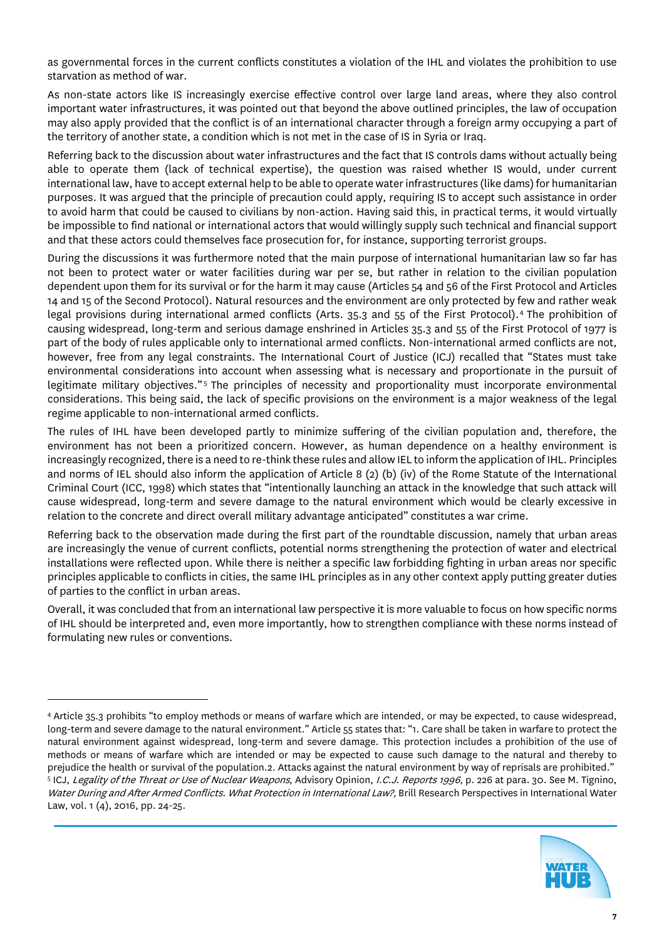as governmental forces in the current conflicts constitutes a violation of the IHL and violates the prohibition to use starvation as method of war.

As non-state actors like IS increasingly exercise effective control over large land areas, where they also control important water infrastructures, it was pointed out that beyond the above outlined principles, the law of occupation may also apply provided that the conflict is of an international character through a foreign army occupying a part of the territory of another state, a condition which is not met in the case of IS in Syria or Iraq.

Referring back to the discussion about water infrastructures and the fact that IS controls dams without actually being able to operate them (lack of technical expertise), the question was raised whether IS would, under current international law, have to accept external help to be able to operate water infrastructures (like dams) for humanitarian purposes. It was argued that the principle of precaution could apply, requiring IS to accept such assistance in order to avoid harm that could be caused to civilians by non-action. Having said this, in practical terms, it would virtually be impossible to find national or international actors that would willingly supply such technical and financial support and that these actors could themselves face prosecution for, for instance, supporting terrorist groups.

During the discussions it was furthermore noted that the main purpose of international humanitarian law so far has not been to protect water or water facilities during war per se, but rather in relation to the civilian population dependent upon them for its survival or for the harm it may cause (Articles 54 and 56 of the First Protocol and Articles 14 and 15 of the Second Protocol). Natural resources and the environment are only protected by few and rather weak legal provisions during international armed conflicts (Arts. 35.3 and 55 of the First Protocol).[4](#page-6-0) The prohibition of causing widespread, long-term and serious damage enshrined in Articles 35.3 and 55 of the First Protocol of 1977 is part of the body of rules applicable only to international armed conflicts. Non-international armed conflicts are not, however, free from any legal constraints. The International Court of Justice (ICJ) recalled that "States must take environmental considerations into account when assessing what is necessary and proportionate in the pursuit of legitimate military objectives."<sup>[5](#page-6-1)</sup> The principles of necessity and proportionality must incorporate environmental considerations. This being said, the lack of specific provisions on the environment is a major weakness of the legal regime applicable to non-international armed conflicts.

The rules of IHL have been developed partly to minimize suffering of the civilian population and, therefore, the environment has not been a prioritized concern. However, as human dependence on a healthy environment is increasingly recognized, there is a need to re-think these rules and allow IEL to inform the application of IHL. Principles and norms of IEL should also inform the application of Article 8 (2) (b) (iv) of the Rome Statute of the International Criminal Court (ICC, 1998) which states that "intentionally launching an attack in the knowledge that such attack will cause widespread, long-term and severe damage to the natural environment which would be clearly excessive in relation to the concrete and direct overall military advantage anticipated" constitutes a war crime.

Referring back to the observation made during the first part of the roundtable discussion, namely that urban areas are increasingly the venue of current conflicts, potential norms strengthening the protection of water and electrical installations were reflected upon. While there is neither a specific law forbidding fighting in urban areas nor specific principles applicable to conflicts in cities, the same IHL principles as in any other context apply putting greater duties of parties to the conflict in urban areas.

Overall, it was concluded that from an international law perspective it is more valuable to focus on how specific norms of IHL should be interpreted and, even more importantly, how to strengthen compliance with these norms instead of formulating new rules or conventions.

 $\overline{a}$ 



<span id="page-6-1"></span><span id="page-6-0"></span><sup>4</sup> Article 35.3 prohibits "to employ methods or means of warfare which are intended, or may be expected, to cause widespread, long-term and severe damage to the natural environment." Article 55 states that: "1. Care shall be taken in warfare to protect the natural environment against widespread, long-term and severe damage. This protection includes a prohibition of the use of methods or means of warfare which are intended or may be expected to cause such damage to the natural and thereby to prejudice the health or survival of the population.2. Attacks against the natural environment by way of reprisals are prohibited."<br><sup>5</sup> ICJ, *Legality of the Threat or Use of Nuclear Weapons*, Advisory Opinion, *I.C.J. Repo* Water During and After Armed Conflicts. What Protection in International Law?, Brill Research Perspectives in International Water Law, vol. 1 (4), 2016, pp. 24-25.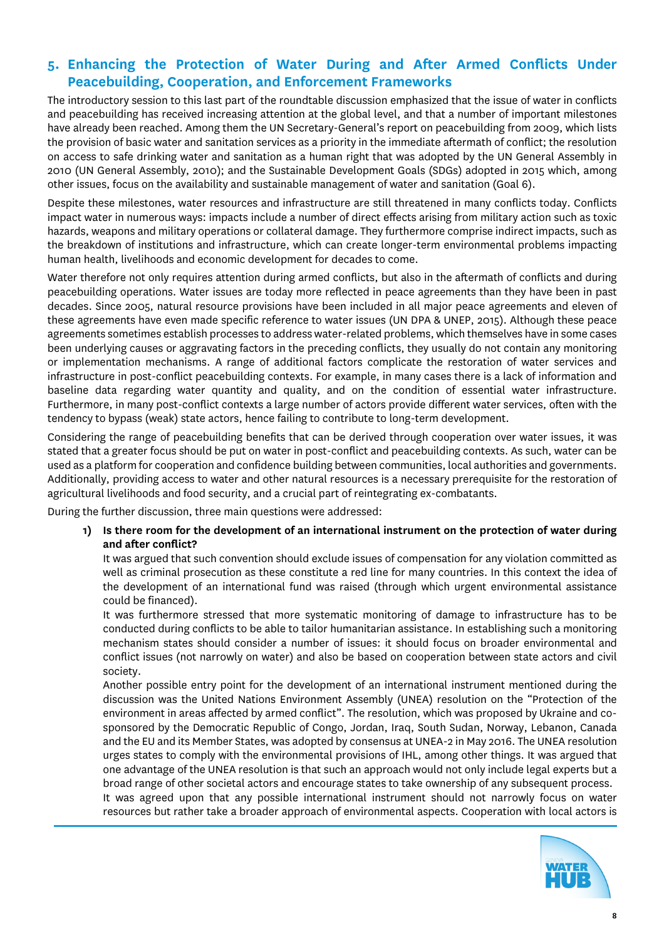# **5. Enhancing the Protection of Water During and After Armed Conflicts Under Peacebuilding, Cooperation, and Enforcement Frameworks**

The introductory session to this last part of the roundtable discussion emphasized that the issue of water in conflicts and peacebuilding has received increasing attention at the global level, and that a number of important milestones have already been reached. Among them the UN Secretary-General's report on peacebuilding from 2009, which lists the provision of basic water and sanitation services as a priority in the immediate aftermath of conflict; the resolution on access to safe drinking water and sanitation as a human right that was adopted by the UN General Assembly in 2010 (UN General Assembly, 2010); and the Sustainable Development Goals (SDGs) adopted in 2015 which, among other issues, focus on the availability and sustainable management of water and sanitation (Goal 6).

Despite these milestones, water resources and infrastructure are still threatened in many conflicts today. Conflicts impact water in numerous ways: impacts include a number of direct effects arising from military action such as toxic hazards, weapons and military operations or collateral damage. They furthermore comprise indirect impacts, such as the breakdown of institutions and infrastructure, which can create longer-term environmental problems impacting human health, livelihoods and economic development for decades to come.

Water therefore not only requires attention during armed conflicts, but also in the aftermath of conflicts and during peacebuilding operations. Water issues are today more reflected in peace agreements than they have been in past decades. Since 2005, natural resource provisions have been included in all major peace agreements and eleven of these agreements have even made specific reference to water issues (UN DPA & UNEP, 2015). Although these peace agreements sometimes establish processes to address water-related problems, which themselves have in some cases been underlying causes or aggravating factors in the preceding conflicts, they usually do not contain any monitoring or implementation mechanisms. A range of additional factors complicate the restoration of water services and infrastructure in post-conflict peacebuilding contexts. For example, in many cases there is a lack of information and baseline data regarding water quantity and quality, and on the condition of essential water infrastructure. Furthermore, in many post-conflict contexts a large number of actors provide different water services, often with the tendency to bypass (weak) state actors, hence failing to contribute to long-term development.

Considering the range of peacebuilding benefits that can be derived through cooperation over water issues, it was stated that a greater focus should be put on water in post-conflict and peacebuilding contexts. As such, water can be used as a platform for cooperation and confidence building between communities, local authorities and governments. Additionally, providing access to water and other natural resources is a necessary prerequisite for the restoration of agricultural livelihoods and food security, and a crucial part of reintegrating ex-combatants.

During the further discussion, three main questions were addressed:

**1) Is there room for the development of an international instrument on the protection of water during and after conflict?**

It was argued that such convention should exclude issues of compensation for any violation committed as well as criminal prosecution as these constitute a red line for many countries. In this context the idea of the development of an international fund was raised (through which urgent environmental assistance could be financed).

It was furthermore stressed that more systematic monitoring of damage to infrastructure has to be conducted during conflicts to be able to tailor humanitarian assistance. In establishing such a monitoring mechanism states should consider a number of issues: it should focus on broader environmental and conflict issues (not narrowly on water) and also be based on cooperation between state actors and civil society.

Another possible entry point for the development of an international instrument mentioned during the discussion was the United Nations Environment Assembly (UNEA) resolution on the "Protection of the environment in areas affected by armed conflict". The resolution, which was proposed by Ukraine and cosponsored by the Democratic Republic of Congo, Jordan, Iraq, South Sudan, Norway, Lebanon, Canada and the EU and its Member States, was adopted by consensus at UNEA-2 in May 2016. The UNEA resolution urges states to comply with the environmental provisions of IHL, among other things. It was argued that one advantage of the UNEA resolution is that such an approach would not only include legal experts but a broad range of other societal actors and encourage states to take ownership of any subsequent process. It was agreed upon that any possible international instrument should not narrowly focus on water resources but rather take a broader approach of environmental aspects. Cooperation with local actors is

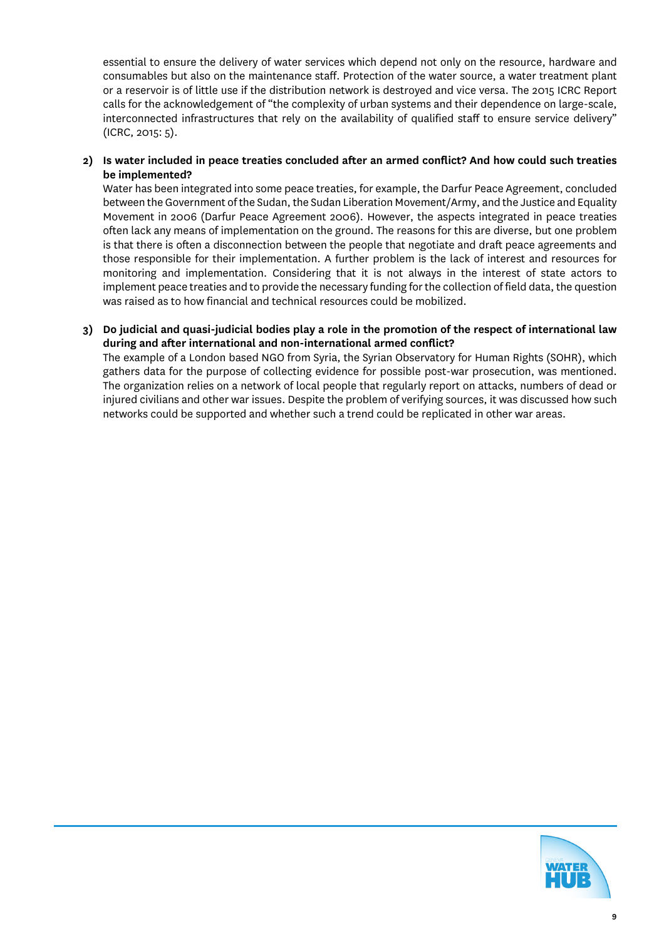essential to ensure the delivery of water services which depend not only on the resource, hardware and consumables but also on the maintenance staff. Protection of the water source, a water treatment plant or a reservoir is of little use if the distribution network is destroyed and vice versa. The 2015 ICRC Report calls for the acknowledgement of "the complexity of urban systems and their dependence on large-scale, interconnected infrastructures that rely on the availability of qualified staff to ensure service delivery" (ICRC, 2015: 5).

**2) Is water included in peace treaties concluded after an armed conflict? And how could such treaties be implemented?**

Water has been integrated into some peace treaties, for example, the Darfur Peace Agreement, concluded between the Government of the Sudan, the Sudan Liberation Movement/Army, and the Justice and Equality Movement in 2006 (Darfur Peace Agreement 2006). However, the aspects integrated in peace treaties often lack any means of implementation on the ground. The reasons for this are diverse, but one problem is that there is often a disconnection between the people that negotiate and draft peace agreements and those responsible for their implementation. A further problem is the lack of interest and resources for monitoring and implementation. Considering that it is not always in the interest of state actors to implement peace treaties and to provide the necessary funding for the collection of field data, the question was raised as to how financial and technical resources could be mobilized.

#### **3) Do judicial and quasi-judicial bodies play a role in the promotion of the respect of international law during and after international and non-international armed conflict?**

The example of a London based NGO from Syria, the Syrian Observatory for Human Rights (SOHR), which gathers data for the purpose of collecting evidence for possible post-war prosecution, was mentioned. The organization relies on a network of local people that regularly report on attacks, numbers of dead or injured civilians and other war issues. Despite the problem of verifying sources, it was discussed how such networks could be supported and whether such a trend could be replicated in other war areas.

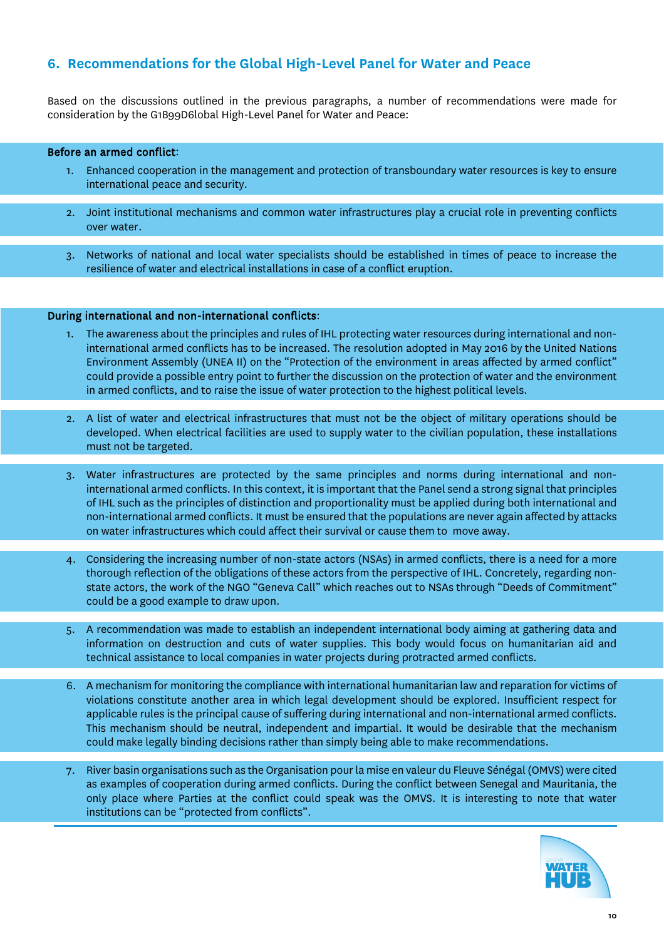# **6. Recommendations for the Global High-Level Panel for Water and Peace**

Based on the discussions outlined in the previous paragraphs, a number of recommendations were made for consideration by the G1B99D6lobal High-Level Panel for Water and Peace:

#### Before an armed conflict:

- 1. Enhanced cooperation in the management and protection of transboundary water resources is key to ensure international peace and security.
- 2. Joint institutional mechanisms and common water infrastructures play a crucial role in preventing conflicts over water.
- 3. Networks of national and local water specialists should be established in times of peace to increase the resilience of water and electrical installations in case of a conflict eruption.

#### During international and non-international conflicts:

- 1. The awareness about the principles and rules of IHL protecting water resources during international and noninternational armed conflicts has to be increased. The resolution adopted in May 2016 by the United Nations Environment Assembly (UNEA II) on the "Protection of the environment in areas affected by armed conflict" could provide a possible entry point to further the discussion on the protection of water and the environment in armed conflicts, and to raise the issue of water protection to the highest political levels.
- 2. A list of water and electrical infrastructures that must not be the object of military operations should be developed. When electrical facilities are used to supply water to the civilian population, these installations must not be targeted.
- 3. Water infrastructures are protected by the same principles and norms during international and noninternational armed conflicts. In this context, it is important that the Panel send a strong signal that principles of IHL such as the principles of distinction and proportionality must be applied during both international and non-international armed conflicts. It must be ensured that the populations are never again affected by attacks on water infrastructures which could affect their survival or cause them to move away.
- 4. Considering the increasing number of non-state actors (NSAs) in armed conflicts, there is a need for a more thorough reflection of the obligations of these actors from the perspective of IHL. Concretely, regarding nonstate actors, the work of the NGO "Geneva Call" which reaches out to NSAs through "Deeds of Commitment" could be a good example to draw upon.
- 5. A recommendation was made to establish an independent international body aiming at gathering data and information on destruction and cuts of water supplies. This body would focus on humanitarian aid and technical assistance to local companies in water projects during protracted armed conflicts.
- 6. A mechanism for monitoring the compliance with international humanitarian law and reparation for victims of violations constitute another area in which legal development should be explored. Insufficient respect for applicable rules is the principal cause of suffering during international and non-international armed conflicts. This mechanism should be neutral, independent and impartial. It would be desirable that the mechanism could make legally binding decisions rather than simply being able to make recommendations.
- 7. River basin organisations such as the Organisation pour la mise en valeur du Fleuve Sénégal (OMVS) were cited as examples of cooperation during armed conflicts. During the conflict between Senegal and Mauritania, the only place where Parties at the conflict could speak was the OMVS. It is interesting to note that water institutions can be "protected from conflicts".

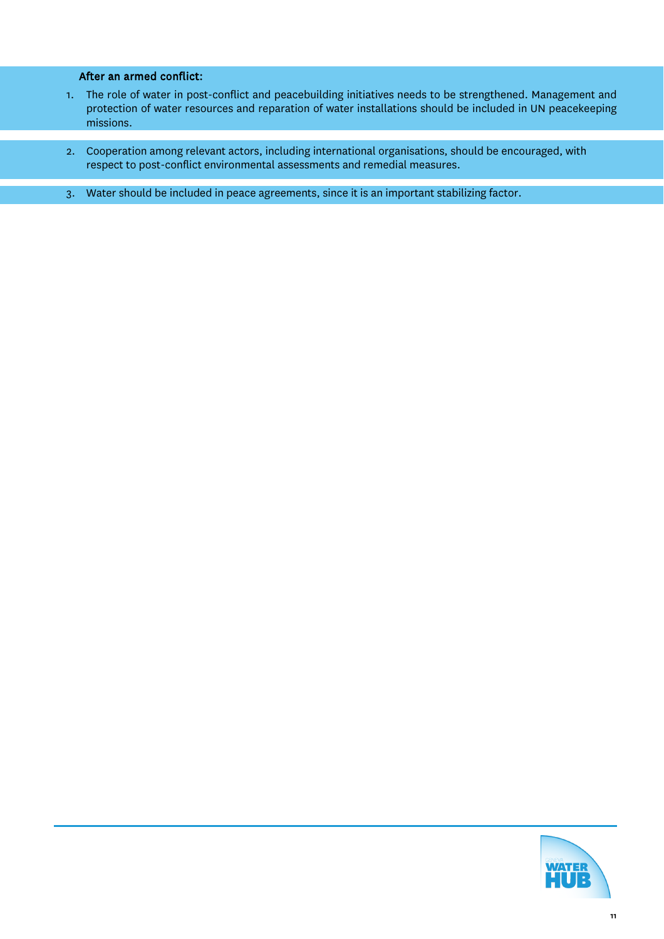#### l After an armed conflict:

- 1. The role of water in post-conflict and peacebuilding initiatives needs to be strengthened. Management and protection of water resources and reparation of water installations should be included in UN peacekeeping missions.
- 2. Cooperation among relevant actors, including international organisations, should be encouraged, with respect to post-conflict environmental assessments and remedial measures.
- 3. Water should be included in peace agreements, since it is an important stabilizing factor.

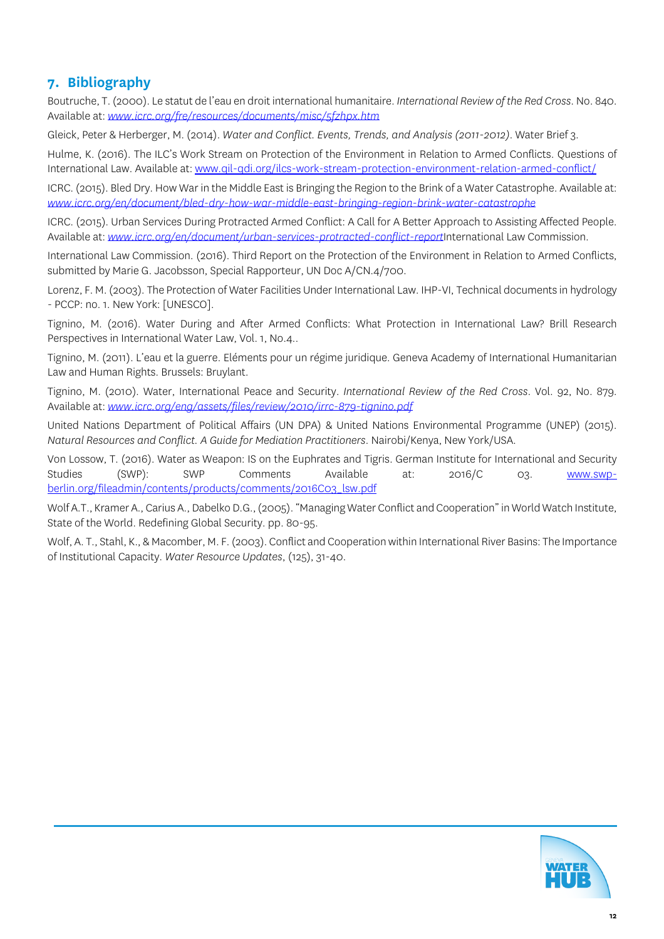# **7. Bibliography**

Boutruche, T. (2000). Le statut de l'eau en droit international humanitaire. *International Review of the Red Cross*. No. 840. Available at: *[www.icrc.org/fre/resources/documents/misc/5fzhpx.htm](http://www.icrc.org/fre/resources/documents/misc/5fzhpx.htm)*

Gleick, Peter & Herberger, M. (2014). *Water and Conflict. Events, Trends, and Analysis (2011-2012)*. Water Brief 3.

Hulme, K. (2016). The ILC's Work Stream on Protection of the Environment in Relation to Armed Conflicts. Questions of International Law. Available at[: www.qil-qdi.org/ilcs-work-stream-protection-environment-relation-armed-conflict/](http://www.qil-qdi.org/ilcs-work-stream-protection-environment-relation-armed-conflict/)

ICRC. (2015). Bled Dry. How War in the Middle East is Bringing the Region to the Brink of a Water Catastrophe. Available at: *[www.icrc.org/en/document/bled-dry-how-war-middle-east-bringing-region-brink-water-catastrophe](http://www.icrc.org/en/document/bled-dry-how-war-middle-east-bringing-region-brink-water-catastrophe)*

ICRC. (2015). Urban Services During Protracted Armed Conflict: A Call for A Better Approach to Assisting Affected People. Available at: *www.icrc.org/en/document/urban-services-protracted-conflict-report*International Law Commission.

International Law Commission. (2016). Third Report on the Protection of the Environment in Relation to Armed Conflicts, submitted by Marie G. Jacobsson, Special Rapporteur, UN Doc A/CN.4/700.

Lorenz, F. M. (2003). The Protection of Water Facilities Under International Law. IHP-VI, Technical documents in hydrology - PCCP: no. 1. New York: [UNESCO].

Tignino, M. (2016). Water During and After Armed Conflicts: What Protection in International Law? Brill Research Perspectives in International Water Law, Vol. 1, No.4..

Tignino, M. (2011). L'eau et la guerre. Eléments pour un régime juridique. Geneva Academy of International Humanitarian Law and Human Rights. Brussels: Bruylant.

Tignino, M. (2010). Water, International Peace and Security. *International Review of the Red Cross*. Vol. 92, No. 879. Available at: *[www.icrc.org/eng/assets/files/review/2010/irrc-879-tignino.pdf](http://www.icrc.org/eng/assets/files/review/2010/irrc-879-tignino.pdf)*

United Nations Department of Political Affairs (UN DPA) & United Nations Environmental Programme (UNEP) (2015). *Natural Resources and Conflict. A Guide for Mediation Practitioners*. Nairobi/Kenya, New York/USA.

Von Lossow, T. (2016). Water as Weapon: IS on the Euphrates and Tigris. German Institute for International and Security Studies (SWP): SWP Comments Available at: 2016/C 03. <u>www.swp-</u> [berlin.org/fileadmin/contents/products/comments/2016C03\\_lsw.pdf](http://www.swp-berlin.org/fileadmin/contents/products/comments/2016C03_lsw.pdf)

Wolf A.T., Kramer A., Carius A., Dabelko D.G., (2005). "Managing Water Conflict and Cooperation" in World Watch Institute, State of the World. Redefining Global Security. pp. 80-95.

Wolf, A. T., Stahl, K., & Macomber, M. F. (2003). Conflict and Cooperation within International River Basins: The Importance of Institutional Capacity. *Water Resource Updates*, (125), 31-40.

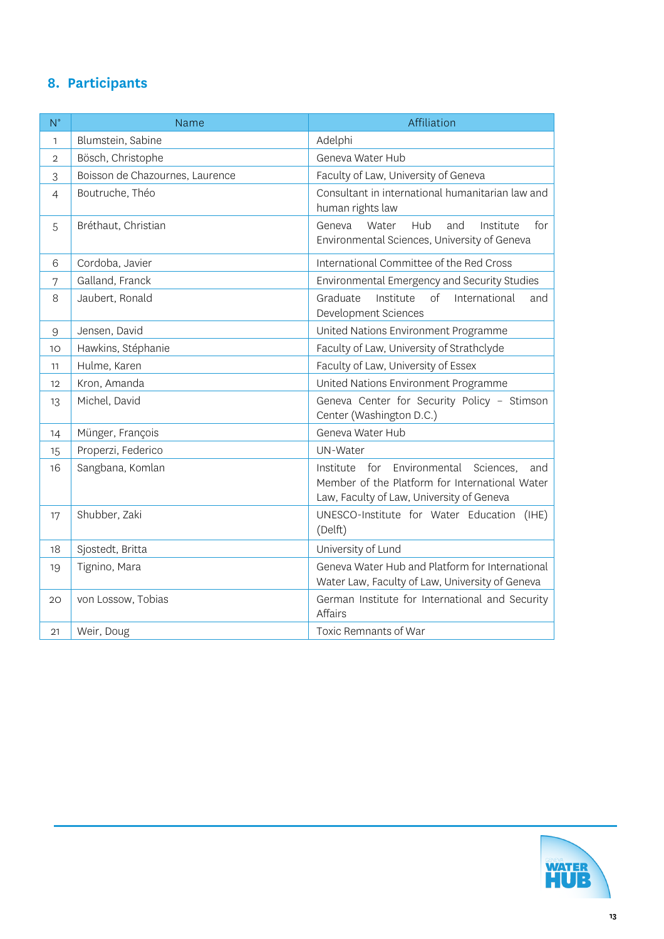# **8. Participants**

| $N^{\circ}$    | Name                            | Affiliation                                                                                                                                          |
|----------------|---------------------------------|------------------------------------------------------------------------------------------------------------------------------------------------------|
| $\mathbf{1}$   | Blumstein, Sabine               | Adelphi                                                                                                                                              |
| $\overline{2}$ | Bösch, Christophe               | Geneva Water Hub                                                                                                                                     |
| 3              | Boisson de Chazournes, Laurence | Faculty of Law, University of Geneva                                                                                                                 |
| $\overline{4}$ | Boutruche, Théo                 | Consultant in international humanitarian law and<br>human rights law                                                                                 |
| 5              | Bréthaut, Christian             | Hub<br>and<br>Institute<br>for<br>Geneva<br>Water<br>Environmental Sciences, University of Geneva                                                    |
| 6              | Cordoba, Javier                 | International Committee of the Red Cross                                                                                                             |
| 7              | Galland, Franck                 | Environmental Emergency and Security Studies                                                                                                         |
| 8              | Jaubert, Ronald                 | $\sigma$ f<br>Graduate<br>Institute<br>International<br>and<br>Development Sciences                                                                  |
| $\overline{9}$ | Jensen, David                   | United Nations Environment Programme                                                                                                                 |
| 10             | Hawkins, Stéphanie              | Faculty of Law, University of Strathclyde                                                                                                            |
| 11             | Hulme, Karen                    | Faculty of Law, University of Essex                                                                                                                  |
| 12             | Kron, Amanda                    | United Nations Environment Programme                                                                                                                 |
| 13             | Michel, David                   | Geneva Center for Security Policy - Stimson<br>Center (Washington D.C.)                                                                              |
| 14             | Münger, François                | Geneva Water Hub                                                                                                                                     |
| 15             | Properzi, Federico              | UN-Water                                                                                                                                             |
| 16             | Sangbana, Komlan                | Environmental<br>Institute<br>for<br>Sciences,<br>and<br>Member of the Platform for International Water<br>Law, Faculty of Law, University of Geneva |
| 17             | Shubber, Zaki                   | UNESCO-Institute for Water Education (IHE)<br>(Delft)                                                                                                |
| 18             | Sjostedt, Britta                | University of Lund                                                                                                                                   |
| 19             | Tignino, Mara                   | Geneva Water Hub and Platform for International<br>Water Law, Faculty of Law, University of Geneva                                                   |
| 20             | von Lossow, Tobias              | German Institute for International and Security<br><b>Affairs</b>                                                                                    |
| 21             | Weir, Doug                      | Toxic Remnants of War                                                                                                                                |

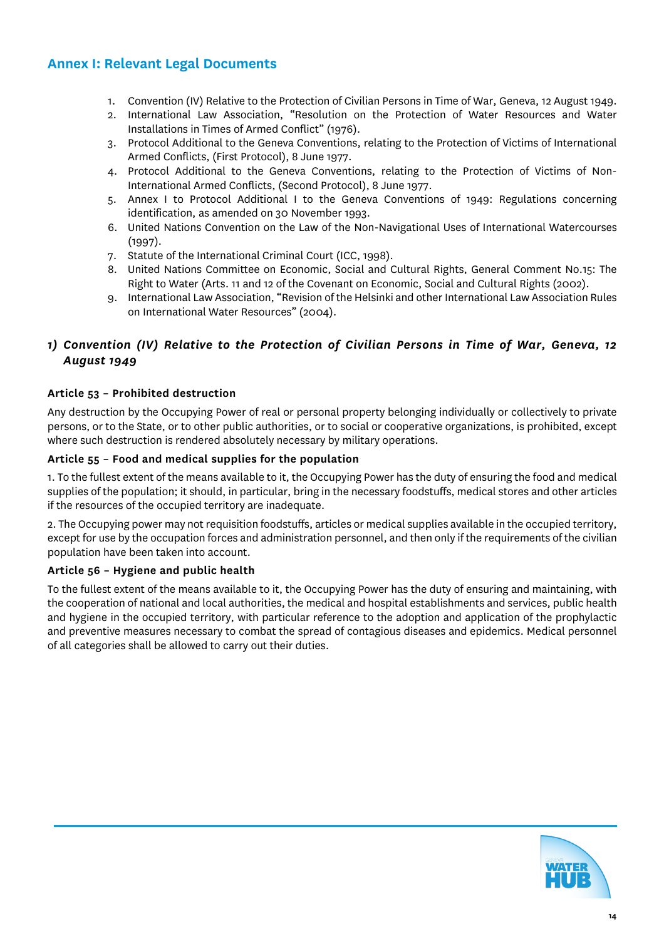# **Annex I: Relevant Legal Documents**

- 1. Convention (IV) Relative to the Protection of Civilian Persons in Time of War, Geneva, 12 August 1949.
- 2. International Law Association, "Resolution on the Protection of Water Resources and Water Installations in Times of Armed Conflict" (1976).
- 3. Protocol Additional to the Geneva Conventions, relating to the Protection of Victims of International Armed Conflicts, (First Protocol), 8 June 1977.
- 4. Protocol Additional to the Geneva Conventions, relating to the Protection of Victims of Non-International Armed Conflicts, (Second Protocol), 8 June 1977.
- 5. Annex I to Protocol Additional I to the Geneva Conventions of 1949: Regulations concerning identification, as amended on 30 November 1993.
- 6. United Nations Convention on the Law of the Non-Navigational Uses of International Watercourses (1997).
- 7. Statute of the International Criminal Court (ICC, 1998).
- 8. United Nations Committee on Economic, Social and Cultural Rights, General Comment No.15: The Right to Water (Arts. 11 and 12 of the Covenant on Economic, Social and Cultural Rights (2002).
- 9. International Law Association, "Revision of the Helsinki and other International Law Association Rules on International Water Resources" (2004).

# *1) Convention (IV) Relative to the Protection of Civilian Persons in Time of War, Geneva, 12 August 1949*

#### **Article 53 – Prohibited destruction**

Any destruction by the Occupying Power of real or personal property belonging individually or collectively to private persons, or to the State, or to other public authorities, or to social or cooperative organizations, is prohibited, except where such destruction is rendered absolutely necessary by military operations.

#### **Article 55 – Food and medical supplies for the population**

1. To the fullest extent of the means available to it, the Occupying Power has the duty of ensuring the food and medical supplies of the population; it should, in particular, bring in the necessary foodstuffs, medical stores and other articles if the resources of the occupied territory are inadequate.

2. The Occupying power may not requisition foodstuffs, articles or medical supplies available in the occupied territory, except for use by the occupation forces and administration personnel, and then only if the requirements of the civilian population have been taken into account.

#### **Article 56 – Hygiene and public health**

To the fullest extent of the means available to it, the Occupying Power has the duty of ensuring and maintaining, with the cooperation of national and local authorities, the medical and hospital establishments and services, public health and hygiene in the occupied territory, with particular reference to the adoption and application of the prophylactic and preventive measures necessary to combat the spread of contagious diseases and epidemics. Medical personnel of all categories shall be allowed to carry out their duties.

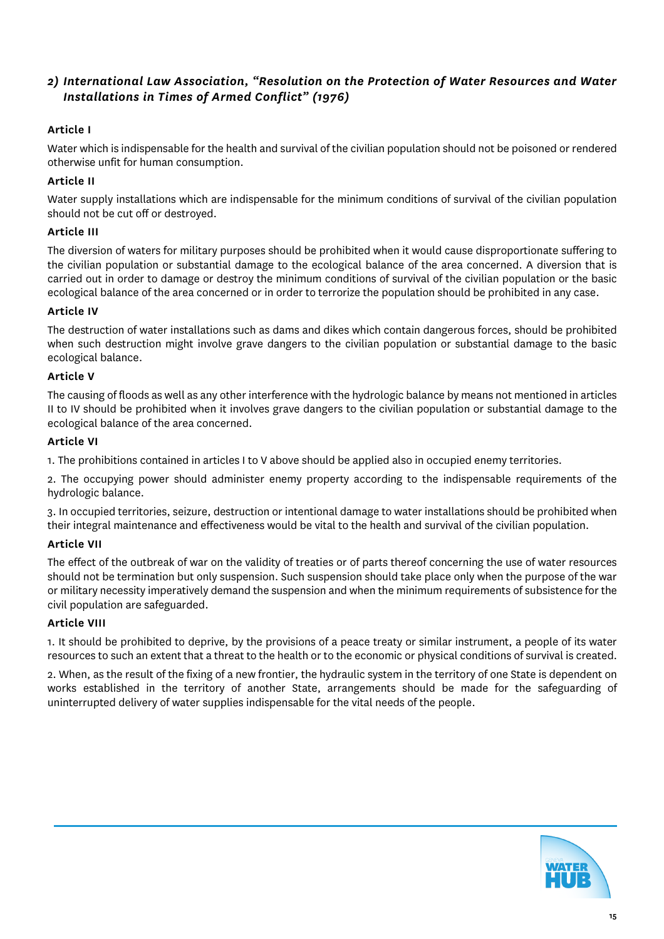# *2) International Law Association, "Resolution on the Protection of Water Resources and Water Installations in Times of Armed Conflict" (1976)*

#### **Article I**

Water which is indispensable for the health and survival of the civilian population should not be poisoned or rendered otherwise unfit for human consumption.

#### **Article II**

Water supply installations which are indispensable for the minimum conditions of survival of the civilian population should not be cut off or destroyed.

#### **Article III**

The diversion of waters for military purposes should be prohibited when it would cause disproportionate suffering to the civilian population or substantial damage to the ecological balance of the area concerned. A diversion that is carried out in order to damage or destroy the minimum conditions of survival of the civilian population or the basic ecological balance of the area concerned or in order to terrorize the population should be prohibited in any case.

#### **Article IV**

The destruction of water installations such as dams and dikes which contain dangerous forces, should be prohibited when such destruction might involve grave dangers to the civilian population or substantial damage to the basic ecological balance.

#### **Article V**

The causing of floods as well as any other interference with the hydrologic balance by means not mentioned in articles II to IV should be prohibited when it involves grave dangers to the civilian population or substantial damage to the ecological balance of the area concerned.

#### **Article VI**

1. The prohibitions contained in articles I to V above should be applied also in occupied enemy territories.

2. The occupying power should administer enemy property according to the indispensable requirements of the hydrologic balance.

3. In occupied territories, seizure, destruction or intentional damage to water installations should be prohibited when their integral maintenance and effectiveness would be vital to the health and survival of the civilian population.

#### **Article VII**

The effect of the outbreak of war on the validity of treaties or of parts thereof concerning the use of water resources should not be termination but only suspension. Such suspension should take place only when the purpose of the war or military necessity imperatively demand the suspension and when the minimum requirements of subsistence for the civil population are safeguarded.

#### **Article VIII**

1. It should be prohibited to deprive, by the provisions of a peace treaty or similar instrument, a people of its water resources to such an extent that a threat to the health or to the economic or physical conditions of survival is created.

2. When, as the result of the fixing of a new frontier, the hydraulic system in the territory of one State is dependent on works established in the territory of another State, arrangements should be made for the safeguarding of uninterrupted delivery of water supplies indispensable for the vital needs of the people.

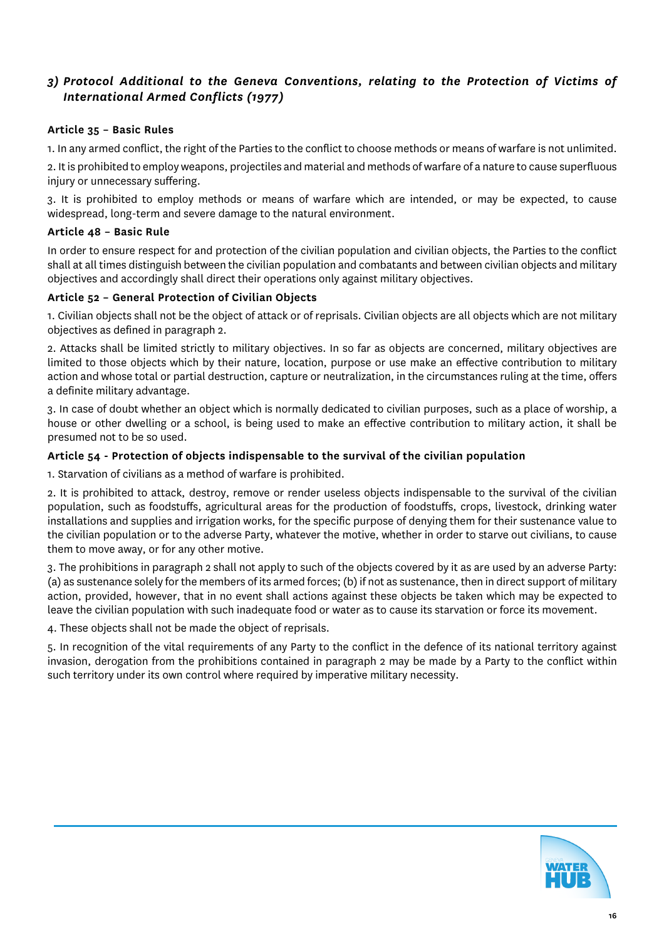# *3) Protocol Additional to the Geneva Conventions, relating to the Protection of Victims of International Armed Conflicts (1977)*

#### **Article 35 – Basic Rules**

1. In any armed conflict, the right of the Parties to the conflict to choose methods or means of warfare is not unlimited.

2. It is prohibited to employ weapons, projectiles and material and methods of warfare of a nature to cause superfluous injury or unnecessary suffering.

3. It is prohibited to employ methods or means of warfare which are intended, or may be expected, to cause widespread, long-term and severe damage to the natural environment.

#### **Article 48 – Basic Rule**

In order to ensure respect for and protection of the civilian population and civilian objects, the Parties to the conflict shall at all times distinguish between the civilian population and combatants and between civilian objects and military objectives and accordingly shall direct their operations only against military objectives.

#### **Article 52 – General Protection of Civilian Objects**

1. Civilian objects shall not be the object of attack or of reprisals. Civilian objects are all objects which are not military objectives as defined in paragraph 2.

2. Attacks shall be limited strictly to military objectives. In so far as objects are concerned, military objectives are limited to those objects which by their nature, location, purpose or use make an effective contribution to military action and whose total or partial destruction, capture or neutralization, in the circumstances ruling at the time, offers a definite military advantage.

3. In case of doubt whether an object which is normally dedicated to civilian purposes, such as a place of worship, a house or other dwelling or a school, is being used to make an effective contribution to military action, it shall be presumed not to be so used.

#### **Article 54 - Protection of objects indispensable to the survival of the civilian population**

1. Starvation of civilians as a method of warfare is prohibited.

2. It is prohibited to attack, destroy, remove or render useless objects indispensable to the survival of the civilian population, such as foodstuffs, agricultural areas for the production of foodstuffs, crops, livestock, drinking water installations and supplies and irrigation works, for the specific purpose of denying them for their sustenance value to the civilian population or to the adverse Party, whatever the motive, whether in order to starve out civilians, to cause them to move away, or for any other motive.

3. The prohibitions in paragraph 2 shall not apply to such of the objects covered by it as are used by an adverse Party: (a) as sustenance solely for the members of its armed forces; (b) if not as sustenance, then in direct support of military action, provided, however, that in no event shall actions against these objects be taken which may be expected to leave the civilian population with such inadequate food or water as to cause its starvation or force its movement.

4. These objects shall not be made the object of reprisals.

5. In recognition of the vital requirements of any Party to the conflict in the defence of its national territory against invasion, derogation from the prohibitions contained in paragraph 2 may be made by a Party to the conflict within such territory under its own control where required by imperative military necessity.

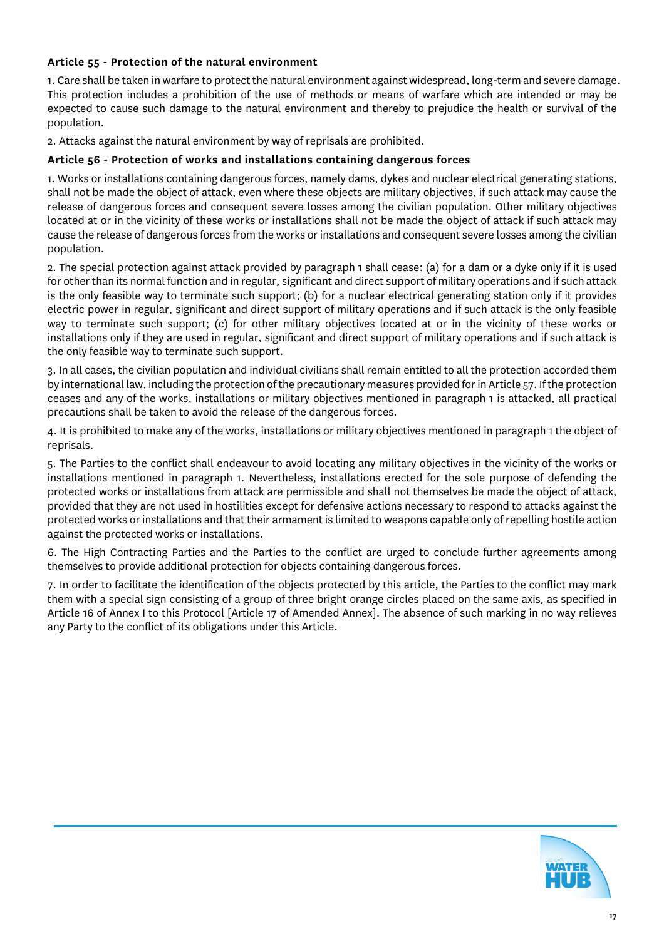#### **Article 55 - Protection of the natural environment**

1. Care shall be taken in warfare to protect the natural environment against widespread, long-term and severe damage. This protection includes a prohibition of the use of methods or means of warfare which are intended or may be expected to cause such damage to the natural environment and thereby to prejudice the health or survival of the population.

2. Attacks against the natural environment by way of reprisals are prohibited.

#### **Article 56 - Protection of works and installations containing dangerous forces**

1. Works or installations containing dangerous forces, namely dams, dykes and nuclear electrical generating stations, shall not be made the object of attack, even where these objects are military objectives, if such attack may cause the release of dangerous forces and consequent severe losses among the civilian population. Other military objectives located at or in the vicinity of these works or installations shall not be made the object of attack if such attack may cause the release of dangerous forces from the works or installations and consequent severe losses among the civilian population.

2. The special protection against attack provided by paragraph 1 shall cease: (a) for a dam or a dyke only if it is used for other than its normal function and in regular, significant and direct support of military operations and if such attack is the only feasible way to terminate such support; (b) for a nuclear electrical generating station only if it provides electric power in regular, significant and direct support of military operations and if such attack is the only feasible way to terminate such support; (c) for other military objectives located at or in the vicinity of these works or installations only if they are used in regular, significant and direct support of military operations and if such attack is the only feasible way to terminate such support.

3. In all cases, the civilian population and individual civilians shall remain entitled to all the protection accorded them by international law, including the protection of the precautionary measures provided for in Article 57. If the protection ceases and any of the works, installations or military objectives mentioned in paragraph 1 is attacked, all practical precautions shall be taken to avoid the release of the dangerous forces.

4. It is prohibited to make any of the works, installations or military objectives mentioned in paragraph 1 the object of reprisals.

5. The Parties to the conflict shall endeavour to avoid locating any military objectives in the vicinity of the works or installations mentioned in paragraph 1. Nevertheless, installations erected for the sole purpose of defending the protected works or installations from attack are permissible and shall not themselves be made the object of attack, provided that they are not used in hostilities except for defensive actions necessary to respond to attacks against the protected works or installations and that their armament is limited to weapons capable only of repelling hostile action against the protected works or installations.

6. The High Contracting Parties and the Parties to the conflict are urged to conclude further agreements among themselves to provide additional protection for objects containing dangerous forces.

7. In order to facilitate the identification of the objects protected by this article, the Parties to the conflict may mark them with a special sign consisting of a group of three bright orange circles placed on the same axis, as specified in Article 16 of Annex I to this Protocol [Article 17 of Amended Annex]. The absence of such marking in no way relieves any Party to the conflict of its obligations under this Article.

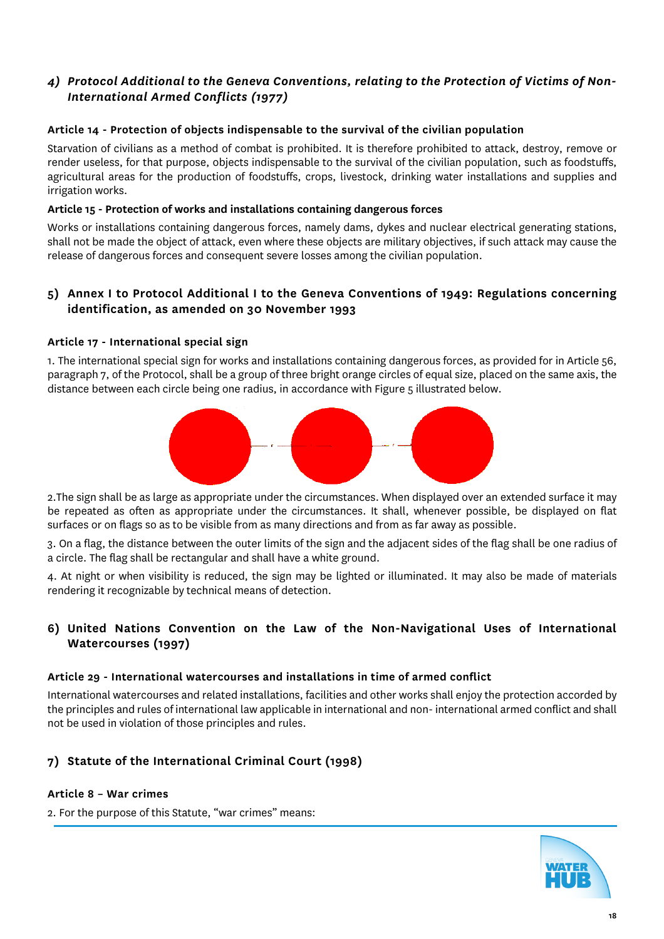# *4) Protocol Additional to the Geneva Conventions, relating to the Protection of Victims of Non-International Armed Conflicts (1977)*

#### **Article 14 - Protection of objects indispensable to the survival of the civilian population**

Starvation of civilians as a method of combat is prohibited. It is therefore prohibited to attack, destroy, remove or render useless, for that purpose, objects indispensable to the survival of the civilian population, such as foodstuffs, agricultural areas for the production of foodstuffs, crops, livestock, drinking water installations and supplies and irrigation works.

#### **Article 15 - Protection of works and installations containing dangerous forces**

Works or installations containing dangerous forces, namely dams, dykes and nuclear electrical generating stations, shall not be made the object of attack, even where these objects are military objectives, if such attack may cause the release of dangerous forces and consequent severe losses among the civilian population.

#### **5) Annex I to Protocol Additional I to the Geneva Conventions of 1949: Regulations concerning identification, as amended on 30 November 1993**

#### **Article 17 - International special sign**

1. The international special sign for works and installations containing dangerous forces, as provided for in Article 56, paragraph 7, of the Protocol, shall be a group of three bright orange circles of equal size, placed on the same axis, the distance between each circle being one radius, in accordance with Figure 5 illustrated below.



2.The sign shall be as large as appropriate under the circumstances. When displayed over an extended surface it may be repeated as often as appropriate under the circumstances. It shall, whenever possible, be displayed on flat surfaces or on flags so as to be visible from as many directions and from as far away as possible.

3. On a flag, the distance between the outer limits of the sign and the adjacent sides of the flag shall be one radius of a circle. The flag shall be rectangular and shall have a white ground.

4. At night or when visibility is reduced, the sign may be lighted or illuminated. It may also be made of materials rendering it recognizable by technical means of detection.

### **6) United Nations Convention on the Law of the Non-Navigational Uses of International Watercourses (1997)**

#### **Article 29 - International watercourses and installations in time of armed conflict**

International watercourses and related installations, facilities and other works shall enjoy the protection accorded by the principles and rules of international law applicable in international and non-international armed conflict and shall not be used in violation of those principles and rules.

# **7) Statute of the International Criminal Court (1998)**

#### **Article 8 – War crimes**

2. For the purpose of this Statute, "war crimes" means:

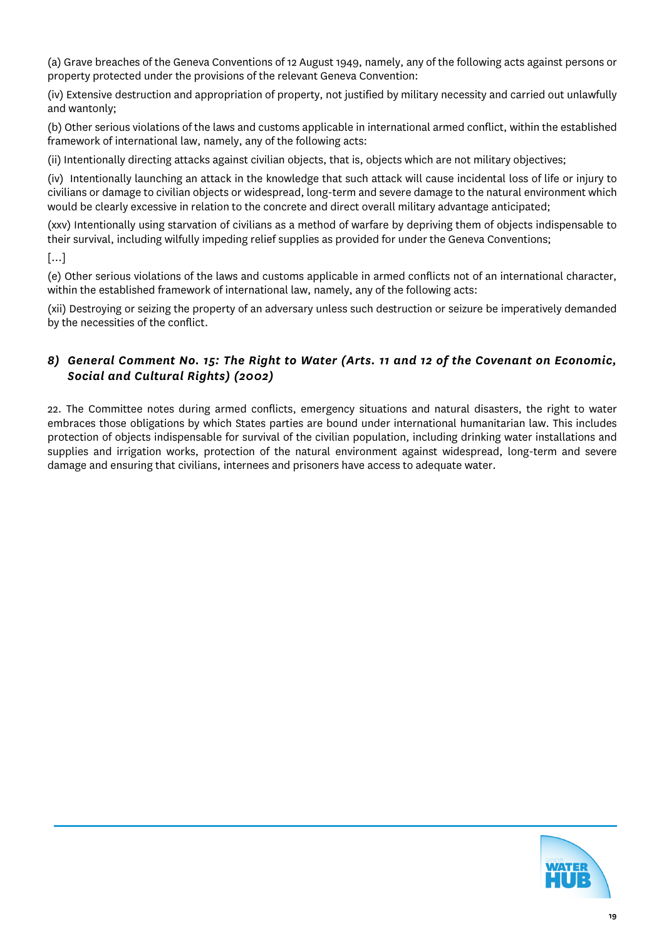(a) Grave breaches of the Geneva Conventions of 12 August 1949, namely, any of the following acts against persons or property protected under the provisions of the relevant Geneva Convention:

(iv) Extensive destruction and appropriation of property, not justified by military necessity and carried out unlawfully and wantonly;

(b) Other serious violations of the laws and customs applicable in international armed conflict, within the established framework of international law, namely, any of the following acts:

(ii) Intentionally directing attacks against civilian objects, that is, objects which are not military objectives;

(iv) Intentionally launching an attack in the knowledge that such attack will cause incidental loss of life or injury to civilians or damage to civilian objects or widespread, long-term and severe damage to the natural environment which would be clearly excessive in relation to the concrete and direct overall military advantage anticipated;

(xxv) Intentionally using starvation of civilians as a method of warfare by depriving them of objects indispensable to their survival, including wilfully impeding relief supplies as provided for under the Geneva Conventions;

[…]

(e) Other serious violations of the laws and customs applicable in armed conflicts not of an international character, within the established framework of international law, namely, any of the following acts:

(xii) Destroying or seizing the property of an adversary unless such destruction or seizure be imperatively demanded by the necessities of the conflict.

# *8) General Comment No. 15: The Right to Water (Arts. 11 and 12 of the Covenant on Economic, Social and Cultural Rights) (2002)*

22. The Committee notes during armed conflicts, emergency situations and natural disasters, the right to water embraces those obligations by which States parties are bound under international humanitarian law. This includes protection of objects indispensable for survival of the civilian population, including drinking water installations and supplies and irrigation works, protection of the natural environment against widespread, long-term and severe damage and ensuring that civilians, internees and prisoners have access to adequate water.